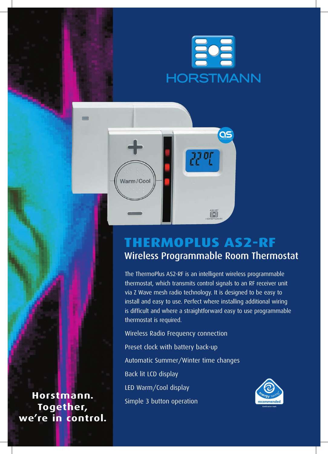



# **ThermoPlus AS2-RF** Wireless Programmable Room Thermostat

The ThermoPlus AS2-RF is an intelligent wireless programmable thermostat, which transmits control signals to an RF receiver unit via Z Wave mesh radio technology. It is designed to be easy to install and easy to use. Perfect where installing additional wiring is difficult and where a straightforward easy to use programmable thermostat is required.

Wireless Radio Frequency connection Preset clock with battery back-up Automatic Summer/Winter time changes Back lit LCD display LED Warm/Cool display Simple 3 button operation



**Horstmann. Together, we're in control.**

 $\equiv$